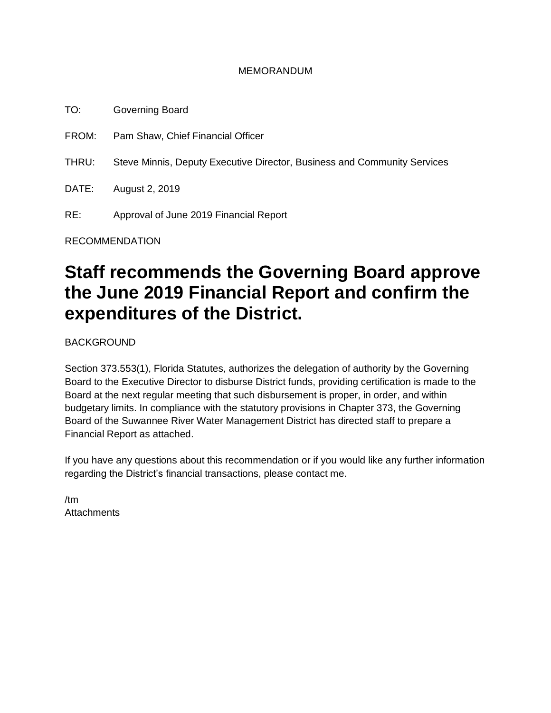#### MEMORANDUM

TO: Governing Board FROM: Pam Shaw, Chief Financial Officer THRU: Steve Minnis, Deputy Executive Director, Business and Community Services DATE: August 2, 2019 RE: Approval of June 2019 Financial Report

RECOMMENDATION

# **Staff recommends the Governing Board approve the June 2019 Financial Report and confirm the expenditures of the District.**

BACKGROUND

Section 373.553(1), Florida Statutes, authorizes the delegation of authority by the Governing Board to the Executive Director to disburse District funds, providing certification is made to the Board at the next regular meeting that such disbursement is proper, in order, and within budgetary limits. In compliance with the statutory provisions in Chapter 373, the Governing Board of the Suwannee River Water Management District has directed staff to prepare a Financial Report as attached.

If you have any questions about this recommendation or if you would like any further information regarding the District's financial transactions, please contact me.

/tm **Attachments**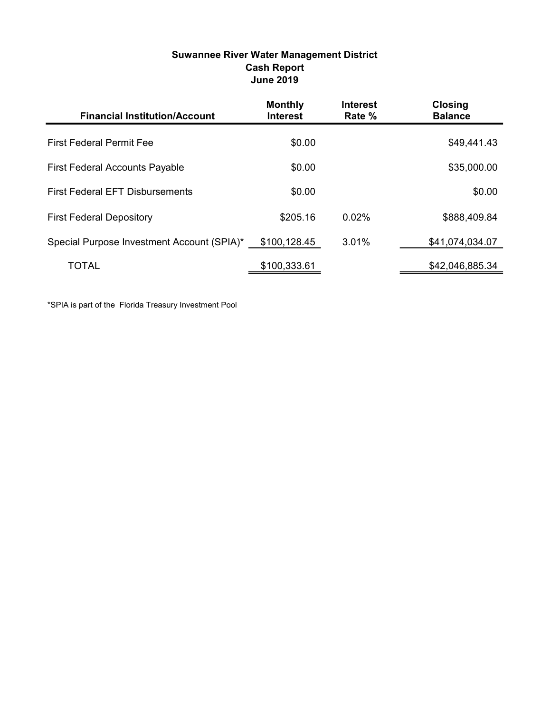| <b>Suwannee River Water Management District</b> |
|-------------------------------------------------|
| <b>Cash Report</b>                              |
| <b>June 2019</b>                                |

| <b>Financial Institution/Account</b>       | <b>Monthly</b><br><b>Interest</b> | <b>Interest</b><br>Rate % | <b>Closing</b><br><b>Balance</b> |
|--------------------------------------------|-----------------------------------|---------------------------|----------------------------------|
| <b>First Federal Permit Fee</b>            | \$0.00                            |                           | \$49,441.43                      |
| <b>First Federal Accounts Payable</b>      | \$0.00                            |                           | \$35,000.00                      |
| <b>First Federal EFT Disbursements</b>     | \$0.00                            |                           | \$0.00                           |
| <b>First Federal Depository</b>            | \$205.16                          | 0.02%                     | \$888,409.84                     |
| Special Purpose Investment Account (SPIA)* | \$100,128.45                      | 3.01%                     | \$41,074,034.07                  |
| <b>TOTAL</b>                               | \$100,333.61                      |                           | \$42,046,885.34                  |

\*SPIA is part of the Florida Treasury Investment Pool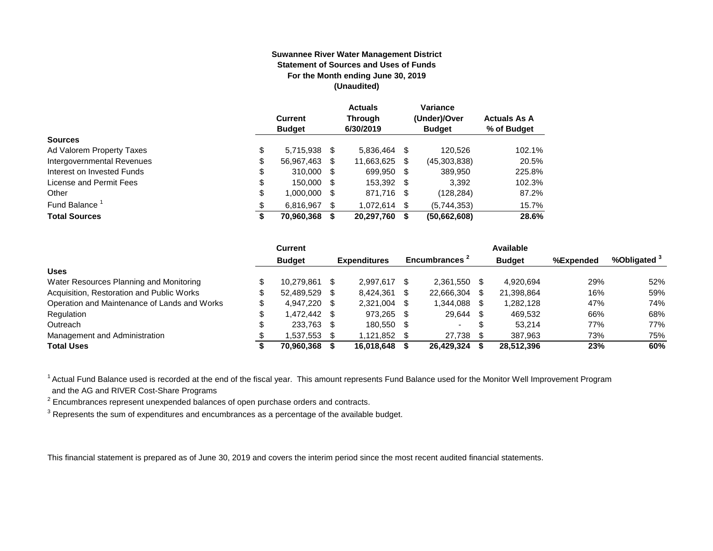#### **Suwannee River Water Management District Statement of Sources and Uses of Funds For the Month ending June 30, 2019 (Unaudited)**

|                            | <b>Current</b><br><b>Budget</b> |     | <b>Actuals</b><br><b>Through</b><br>6/30/2019 |   | Variance<br>(Under)/Over<br><b>Budget</b> | <b>Actuals As A</b><br>% of Budget |
|----------------------------|---------------------------------|-----|-----------------------------------------------|---|-------------------------------------------|------------------------------------|
| <b>Sources</b>             |                                 |     |                                               |   |                                           |                                    |
| Ad Valorem Property Taxes  | \$<br>5,715,938 \$              |     | 5,836,464                                     | S | 120.526                                   | 102.1%                             |
| Intergovernmental Revenues | \$<br>56,967,463                | \$. | 11,663,625                                    | S | (45,303,838)                              | 20.5%                              |
| Interest on Invested Funds | \$<br>310,000 \$                |     | 699.950 \$                                    |   | 389.950                                   | 225.8%                             |
| License and Permit Fees    | \$<br>150,000 \$                |     | 153,392 \$                                    |   | 3,392                                     | 102.3%                             |
| Other                      | \$<br>1,000,000 \$              |     | 871,716 \$                                    |   | (128, 284)                                | 87.2%                              |
| Fund Balance <sup>1</sup>  | \$<br>6,816,967                 | S   | 1.072.614                                     | S | (5,744,353)                               | 15.7%                              |
| <b>Total Sources</b>       | 70,960,368                      |     | 20,297,760                                    | S | (50,662,608)                              | 28.6%                              |

|                                              | Current       |      |                     |     |                           |     | Available     |           |              |
|----------------------------------------------|---------------|------|---------------------|-----|---------------------------|-----|---------------|-----------|--------------|
|                                              | <b>Budget</b> |      | <b>Expenditures</b> |     | Encumbrances <sup>2</sup> |     | <b>Budget</b> | %Expended | %Obligated ° |
| <b>Uses</b>                                  |               |      |                     |     |                           |     |               |           |              |
| Water Resources Planning and Monitoring      | 10.279.861    |      | 2.997.617           |     | 2.361.550                 | \$. | 4.920.694     | 29%       | 52%          |
| Acquisition, Restoration and Public Works    | 52.489.529    | - \$ | 8.424.361           |     | 22,666,304                | \$. | 21,398,864    | 16%       | 59%          |
| Operation and Maintenance of Lands and Works | 4.947.220 \$  |      | 2,321,004           | \$. | 1,344,088                 |     | 1.282.128     | 47%       | 74%          |
| Regulation                                   | \$ 472.442.   |      | 973,265             | \$. | 29,644                    | \$  | 469.532       | 66%       | 68%          |
| Outreach                                     | 233,763       | - \$ | 180.550             | -S  | $\overline{\phantom{0}}$  | S   | 53.214        | 77%       | 77%          |
| Management and Administration                | .537.553      |      | 1.121.852           |     | 27.738                    |     | 387.963       | 73%       | 75%          |
| <b>Total Uses</b>                            | 70,960,368    |      | 16.018.648          |     | 26,429,324                |     | 28.512.396    | 23%       | 60%          |

<sup>1</sup> Actual Fund Balance used is recorded at the end of the fiscal year. This amount represents Fund Balance used for the Monitor Well Improvement Program and the AG and RIVER Cost-Share Programs

 $2$  Encumbrances represent unexpended balances of open purchase orders and contracts.

 $3$  Represents the sum of expenditures and encumbrances as a percentage of the available budget.

This financial statement is prepared as of June 30, 2019 and covers the interim period since the most recent audited financial statements.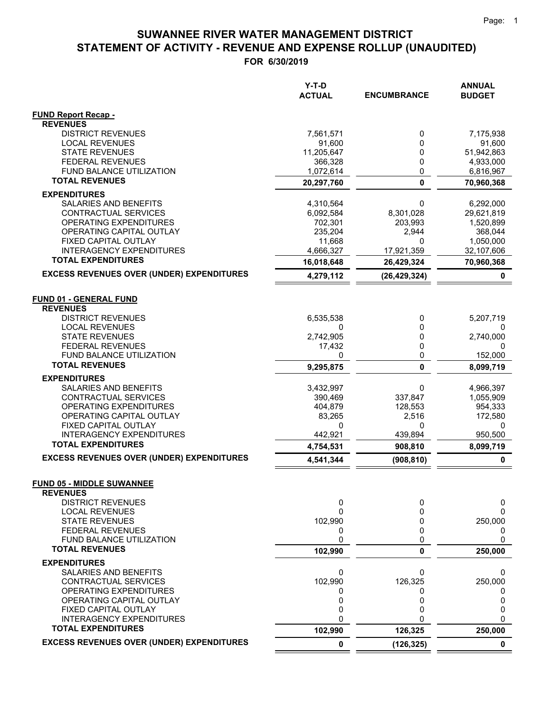|                                                         | Y-T-D<br><b>ACTUAL</b> | <b>ENCUMBRANCE</b>   | <b>ANNUAL</b><br><b>BUDGET</b> |
|---------------------------------------------------------|------------------------|----------------------|--------------------------------|
| <b>FUND Report Recap -</b>                              |                        |                      |                                |
| <b>REVENUES</b>                                         |                        |                      |                                |
| <b>DISTRICT REVENUES</b>                                | 7,561,571              | 0                    | 7,175,938                      |
| <b>LOCAL REVENUES</b>                                   | 91,600                 | 0                    | 91,600                         |
| <b>STATE REVENUES</b>                                   | 11,205,647             | 0                    | 51,942,863                     |
| <b>FEDERAL REVENUES</b>                                 | 366,328                | 0                    | 4,933,000                      |
| FUND BALANCE UTILIZATION<br><b>TOTAL REVENUES</b>       | 1,072,614              | 0                    | 6,816,967                      |
|                                                         | 20,297,760             | $\mathbf 0$          | 70,960,368                     |
| <b>EXPENDITURES</b>                                     |                        |                      |                                |
| SALARIES AND BENEFITS                                   | 4,310,564              | 0                    | 6,292,000                      |
| CONTRACTUAL SERVICES<br><b>OPERATING EXPENDITURES</b>   | 6,092,584<br>702,301   | 8,301,028<br>203,993 | 29,621,819<br>1,520,899        |
| OPERATING CAPITAL OUTLAY                                | 235,204                | 2,944                | 368,044                        |
| FIXED CAPITAL OUTLAY                                    | 11,668                 | 0                    | 1,050,000                      |
| <b>INTERAGENCY EXPENDITURES</b>                         | 4,666,327              | 17,921,359           | 32,107,606                     |
| <b>TOTAL EXPENDITURES</b>                               | 16,018,648             | 26,429,324           | 70,960,368                     |
| <b>EXCESS REVENUES OVER (UNDER) EXPENDITURES</b>        | 4,279,112              | (26, 429, 324)       | 0                              |
| <b>FUND 01 - GENERAL FUND</b>                           |                        |                      |                                |
| <b>REVENUES</b>                                         |                        |                      |                                |
| <b>DISTRICT REVENUES</b>                                | 6,535,538              | 0                    | 5,207,719                      |
| <b>LOCAL REVENUES</b>                                   | 0                      | 0                    |                                |
| <b>STATE REVENUES</b>                                   | 2,742,905              | 0                    | 2,740,000                      |
| <b>FEDERAL REVENUES</b>                                 | 17,432                 | 0                    | 0                              |
| <b>FUND BALANCE UTILIZATION</b>                         | 0                      | 0                    | 152,000                        |
| <b>TOTAL REVENUES</b>                                   | 9,295,875              | $\mathbf 0$          | 8,099,719                      |
| <b>EXPENDITURES</b>                                     |                        |                      |                                |
| SALARIES AND BENEFITS                                   | 3,432,997              | 0                    | 4,966,397                      |
| CONTRACTUAL SERVICES                                    | 390,469                | 337,847              | 1,055,909                      |
| OPERATING EXPENDITURES                                  | 404,879                | 128,553              | 954,333                        |
| OPERATING CAPITAL OUTLAY                                | 83,265                 | 2,516                | 172,580                        |
| FIXED CAPITAL OUTLAY<br><b>INTERAGENCY EXPENDITURES</b> | 0<br>442,921           | 0<br>439,894         | 0<br>950,500                   |
| <b>TOTAL EXPENDITURES</b>                               | 4,754,531              | 908,810              | 8,099,719                      |
| <b>EXCESS REVENUES OVER (UNDER) EXPENDITURES</b>        |                        |                      |                                |
|                                                         | 4,541,344              | (908, 810)           | 0                              |
| <b>FUND 05 - MIDDLE SUWANNEE</b><br><b>REVENUES</b>     |                        |                      |                                |
| <b>DISTRICT REVENUES</b>                                | 0                      | 0                    | 0                              |
| <b>LOCAL REVENUES</b>                                   | 0                      | 0                    | 0                              |
| <b>STATE REVENUES</b>                                   | 102,990                | 0                    | 250,000                        |
| <b>FEDERAL REVENUES</b>                                 | 0                      | 0                    | 0                              |
| FUND BALANCE UTILIZATION                                | 0                      | 0                    | 0                              |
| <b>TOTAL REVENUES</b>                                   | 102,990                | $\mathbf{0}$         | 250,000                        |
| <b>EXPENDITURES</b>                                     |                        |                      |                                |
| <b>SALARIES AND BENEFITS</b>                            | 0                      | 0                    | 0                              |
| CONTRACTUAL SERVICES                                    | 102,990                | 126,325              | 250,000                        |
| OPERATING EXPENDITURES                                  | 0                      | 0                    | 0                              |
| OPERATING CAPITAL OUTLAY                                | 0                      | 0                    | 0                              |
| FIXED CAPITAL OUTLAY<br><b>INTERAGENCY EXPENDITURES</b> | 0<br>0                 | 0<br>O               | 0<br>0                         |
| <b>TOTAL EXPENDITURES</b>                               | 102,990                | 126,325              | 250,000                        |
| <b>EXCESS REVENUES OVER (UNDER) EXPENDITURES</b>        | 0                      | (126, 325)           | $\mathbf 0$                    |
|                                                         |                        |                      |                                |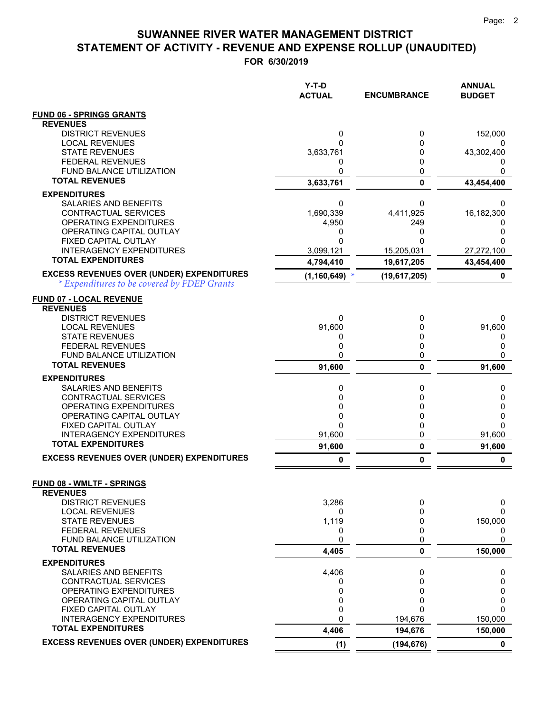$=$   $=$ 

## **STATEMENT OF ACTIVITY - REVENUE AND EXPENSE ROLLUP (UNAUDITED) SUWANNEE RIVER WATER MANAGEMENT DISTRICT**

|                                                                                                 | Y-T-D<br><b>ACTUAL</b> | <b>ENCUMBRANCE</b> | <b>ANNUAL</b><br><b>BUDGET</b> |
|-------------------------------------------------------------------------------------------------|------------------------|--------------------|--------------------------------|
| <b>FUND 06 - SPRINGS GRANTS</b>                                                                 |                        |                    |                                |
| <b>REVENUES</b>                                                                                 |                        |                    |                                |
| <b>DISTRICT REVENUES</b><br><b>LOCAL REVENUES</b>                                               | 0<br>0                 | 0<br>0             | 152,000                        |
| <b>STATE REVENUES</b>                                                                           | 3,633,761              | 0                  | 43,302,400                     |
| <b>FEDERAL REVENUES</b>                                                                         | 0                      | 0                  |                                |
| <b>FUND BALANCE UTILIZATION</b>                                                                 | 0                      | 0                  | 0                              |
| <b>TOTAL REVENUES</b>                                                                           | 3,633,761              | 0                  | 43,454,400                     |
| <b>EXPENDITURES</b>                                                                             |                        |                    |                                |
| SALARIES AND BENEFITS                                                                           | 0                      | 0                  | 0                              |
| CONTRACTUAL SERVICES<br>OPERATING EXPENDITURES                                                  | 1,690,339              | 4,411,925<br>249   | 16,182,300                     |
| OPERATING CAPITAL OUTLAY                                                                        | 4,950<br>0             | 0                  | 0<br>0                         |
| FIXED CAPITAL OUTLAY                                                                            | 0                      | $\Omega$           | 0                              |
| <b>INTERAGENCY EXPENDITURES</b>                                                                 | 3,099,121              | 15,205,031         | 27,272,100                     |
| <b>TOTAL EXPENDITURES</b>                                                                       | 4,794,410              | 19,617,205         | 43,454,400                     |
| <b>EXCESS REVENUES OVER (UNDER) EXPENDITURES</b><br>* Expenditures to be covered by FDEP Grants | (1, 160, 649)          | (19, 617, 205)     | 0                              |
| <b>FUND 07 - LOCAL REVENUE</b>                                                                  |                        |                    |                                |
| <b>REVENUES</b>                                                                                 |                        |                    |                                |
| <b>DISTRICT REVENUES</b>                                                                        | 0                      | 0                  | 0                              |
| <b>LOCAL REVENUES</b><br><b>STATE REVENUES</b>                                                  | 91,600<br>0            | 0<br>0             | 91,600<br>0                    |
| <b>FEDERAL REVENUES</b>                                                                         | 0                      | 0                  | 0                              |
| <b>FUND BALANCE UTILIZATION</b>                                                                 | 0                      | 0                  | 0                              |
| <b>TOTAL REVENUES</b>                                                                           | 91,600                 | $\mathbf{0}$       | 91,600                         |
| <b>EXPENDITURES</b>                                                                             |                        |                    |                                |
| SALARIES AND BENEFITS                                                                           | 0                      | 0                  | 0                              |
| CONTRACTUAL SERVICES<br>OPERATING EXPENDITURES                                                  | 0<br>0                 | 0<br>0             | 0<br>0                         |
| OPERATING CAPITAL OUTLAY                                                                        | 0                      | 0                  | 0                              |
| FIXED CAPITAL OUTLAY                                                                            | 0                      | 0                  | $\Omega$                       |
| <b>INTERAGENCY EXPENDITURES</b>                                                                 | 91,600                 | 0                  | 91,600                         |
| <b>TOTAL EXPENDITURES</b>                                                                       | 91,600                 | $\pmb{0}$          | 91,600                         |
| <b>EXCESS REVENUES OVER (UNDER) EXPENDITURES</b>                                                | 0                      | 0                  | 0                              |
| <b>FUND 08 - WMLTF - SPRINGS</b><br><b>REVENUES</b>                                             |                        |                    |                                |
| <b>DISTRICT REVENUES</b>                                                                        | 3,286                  | 0                  | 0                              |
| <b>LOCAL REVENUES</b>                                                                           | 0                      | $\Omega$           | $\Omega$                       |
| <b>STATE REVENUES</b>                                                                           | 1,119                  | 0                  | 150,000                        |
| <b>FEDERAL REVENUES</b><br>FUND BALANCE UTILIZATION                                             | 0<br>0                 | 0<br>0             | 0<br>0                         |
| <b>TOTAL REVENUES</b>                                                                           | 4,405                  | 0                  | 150,000                        |
| <b>EXPENDITURES</b>                                                                             |                        |                    |                                |
| SALARIES AND BENEFITS                                                                           | 4,406                  | 0                  | 0                              |
| <b>CONTRACTUAL SERVICES</b><br>OPERATING EXPENDITURES                                           | 0<br>0                 | 0<br>$\Omega$      | 0<br>0                         |
| OPERATING CAPITAL OUTLAY                                                                        | 0                      | 0                  | 0                              |
| FIXED CAPITAL OUTLAY                                                                            | 0                      | $\Omega$           | 0                              |
| <b>INTERAGENCY EXPENDITURES</b>                                                                 | 0                      | 194,676            | 150,000                        |
| <b>TOTAL EXPENDITURES</b>                                                                       | 4,406                  | 194,676            | 150,000                        |
| <b>EXCESS REVENUES OVER (UNDER) EXPENDITURES</b>                                                | (1)                    | (194, 676)         | $\mathbf 0$                    |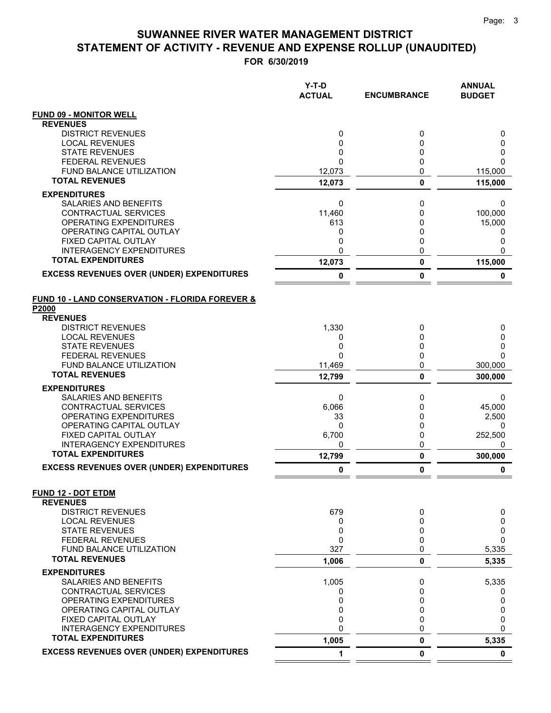|                                                                     | Y-T-D<br><b>ACTUAL</b> | <b>ENCUMBRANCE</b> | <b>ANNUAL</b><br><b>BUDGET</b> |
|---------------------------------------------------------------------|------------------------|--------------------|--------------------------------|
| <b>FUND 09 - MONITOR WELL</b>                                       |                        |                    |                                |
| <b>REVENUES</b>                                                     |                        |                    |                                |
| <b>DISTRICT REVENUES</b>                                            | 0                      | 0                  | 0                              |
| <b>LOCAL REVENUES</b><br><b>STATE REVENUES</b>                      | 0<br>0                 | 0<br>0             | 0<br>0                         |
| <b>FEDERAL REVENUES</b>                                             | $\mathbf{0}$           | $\mathbf 0$        | 0                              |
| <b>FUND BALANCE UTILIZATION</b>                                     | 12,073                 | 0                  | 115,000                        |
| <b>TOTAL REVENUES</b>                                               | 12,073                 | $\mathbf 0$        | 115,000                        |
| <b>EXPENDITURES</b>                                                 |                        |                    |                                |
| SALARIES AND BENEFITS                                               | 0                      | 0                  | 0                              |
| <b>CONTRACTUAL SERVICES</b>                                         | 11,460                 | 0                  | 100,000                        |
| OPERATING EXPENDITURES                                              | 613                    | 0                  | 15,000                         |
| OPERATING CAPITAL OUTLAY                                            | 0                      | 0                  | 0                              |
| FIXED CAPITAL OUTLAY<br><b>INTERAGENCY EXPENDITURES</b>             | 0<br>0                 | 0<br>0             | 0<br>0                         |
| <b>TOTAL EXPENDITURES</b>                                           | 12,073                 | 0                  | 115,000                        |
| <b>EXCESS REVENUES OVER (UNDER) EXPENDITURES</b>                    | 0                      | 0                  | 0                              |
|                                                                     |                        |                    |                                |
| <b>FUND 10 - LAND CONSERVATION - FLORIDA FOREVER &amp;</b><br>P2000 |                        |                    |                                |
| <b>REVENUES</b>                                                     |                        |                    |                                |
| <b>DISTRICT REVENUES</b>                                            | 1,330                  | 0                  | 0                              |
| <b>LOCAL REVENUES</b>                                               | 0                      | 0                  | 0                              |
| <b>STATE REVENUES</b><br><b>FEDERAL REVENUES</b>                    | 0<br>$\Omega$          | 0<br>0             | 0<br>0                         |
| <b>FUND BALANCE UTILIZATION</b>                                     | 11,469                 | 0                  | 300,000                        |
| <b>TOTAL REVENUES</b>                                               | 12,799                 | $\mathbf{0}$       | 300,000                        |
| <b>EXPENDITURES</b>                                                 |                        |                    |                                |
| SALARIES AND BENEFITS                                               | 0                      | 0                  | 0                              |
| CONTRACTUAL SERVICES                                                | 6,066                  | 0                  | 45,000                         |
| OPERATING EXPENDITURES                                              | 33                     | 0                  | 2,500                          |
| OPERATING CAPITAL OUTLAY                                            | 0                      | 0                  | 0                              |
| FIXED CAPITAL OUTLAY<br><b>INTERAGENCY EXPENDITURES</b>             | 6,700<br>0             | 0<br>0             | 252,500<br>0                   |
| <b>TOTAL EXPENDITURES</b>                                           | 12,799                 | $\mathbf{0}$       | 300,000                        |
| <b>EXCESS REVENUES OVER (UNDER) EXPENDITURES</b>                    | 0                      | $\bf{0}$           | 0                              |
|                                                                     |                        |                    |                                |
| <b>FUND 12 - DOT ETDM</b><br><b>REVENUES</b>                        |                        |                    |                                |
| <b>DISTRICT REVENUES</b>                                            | 679                    | 0                  | 0                              |
| <b>LOCAL REVENUES</b>                                               | 0                      | 0                  | 0                              |
| <b>STATE REVENUES</b>                                               | 0                      | 0                  | 0                              |
| <b>FEDERAL REVENUES</b>                                             | $\Omega$               | 0                  | 0                              |
| <b>FUND BALANCE UTILIZATION</b>                                     | 327                    | 0                  | 5,335                          |
| <b>TOTAL REVENUES</b>                                               | 1,006                  | 0                  | 5,335                          |
| <b>EXPENDITURES</b>                                                 |                        |                    |                                |
| SALARIES AND BENEFITS                                               | 1,005                  | 0                  | 5,335                          |
| CONTRACTUAL SERVICES<br><b>OPERATING EXPENDITURES</b>               | 0<br>0                 | 0<br>0             | 0<br>0                         |
| OPERATING CAPITAL OUTLAY                                            | 0                      | 0                  | 0                              |
| FIXED CAPITAL OUTLAY                                                | 0                      | 0                  | 0                              |
| <b>INTERAGENCY EXPENDITURES</b>                                     | 0                      | 0                  | 0                              |
| <b>TOTAL EXPENDITURES</b>                                           | 1,005                  | 0                  | 5,335                          |
| <b>EXCESS REVENUES OVER (UNDER) EXPENDITURES</b>                    | 1                      | 0                  | $\mathbf 0$                    |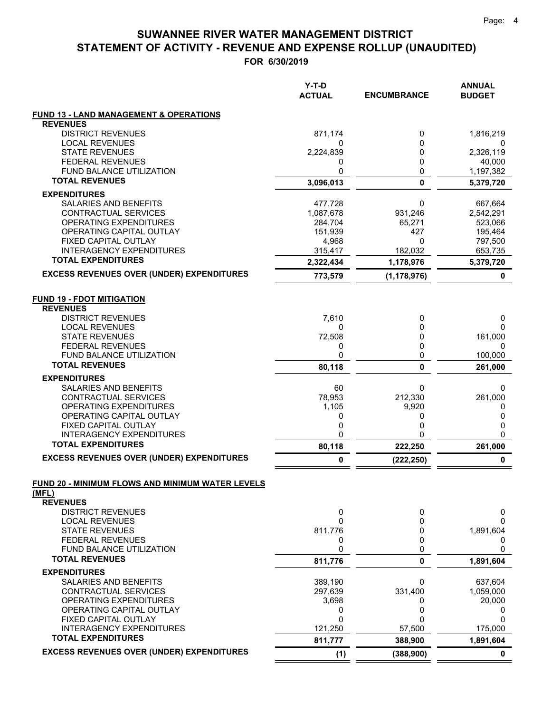|                                                              | Y-T-D<br><b>ACTUAL</b> | <b>ENCUMBRANCE</b>    | <b>ANNUAL</b><br><b>BUDGET</b> |
|--------------------------------------------------------------|------------------------|-----------------------|--------------------------------|
| <b>FUND 13 - LAND MANAGEMENT &amp; OPERATIONS</b>            |                        |                       |                                |
| <b>REVENUES</b>                                              |                        |                       |                                |
| <b>DISTRICT REVENUES</b>                                     | 871,174                | 0                     | 1,816,219                      |
| <b>LOCAL REVENUES</b><br><b>STATE REVENUES</b>               | 0                      | 0<br>0                |                                |
| <b>FEDERAL REVENUES</b>                                      | 2,224,839<br>0         | 0                     | 2,326,119<br>40,000            |
| <b>FUND BALANCE UTILIZATION</b>                              | 0                      | 0                     | 1,197,382                      |
| <b>TOTAL REVENUES</b>                                        | 3,096,013              | 0                     | 5,379,720                      |
| <b>EXPENDITURES</b>                                          |                        |                       |                                |
| <b>SALARIES AND BENEFITS</b>                                 | 477,728                | 0                     | 667,664                        |
| CONTRACTUAL SERVICES                                         | 1,087,678              | 931,246               | 2,542,291                      |
| OPERATING EXPENDITURES                                       | 284,704                | 65,271                | 523,066                        |
| OPERATING CAPITAL OUTLAY                                     | 151,939                | 427                   | 195,464                        |
| FIXED CAPITAL OUTLAY                                         | 4,968                  | 0                     | 797,500                        |
| <b>INTERAGENCY EXPENDITURES</b>                              | 315,417                | 182,032               | 653,735                        |
| <b>TOTAL EXPENDITURES</b>                                    | 2,322,434              | 1,178,976             | 5,379,720                      |
| <b>EXCESS REVENUES OVER (UNDER) EXPENDITURES</b>             | 773,579                | (1, 178, 976)         | 0                              |
| <b>FUND 19 - FDOT MITIGATION</b>                             |                        |                       |                                |
| <b>REVENUES</b><br><b>DISTRICT REVENUES</b>                  | 7,610                  | 0                     |                                |
| <b>LOCAL REVENUES</b>                                        | 0                      | $\Omega$              | 0<br>0                         |
| <b>STATE REVENUES</b>                                        | 72,508                 | 0                     | 161,000                        |
| <b>FEDERAL REVENUES</b>                                      | 0                      | 0                     | 0                              |
| <b>FUND BALANCE UTILIZATION</b>                              | 0                      | 0                     | 100,000                        |
| <b>TOTAL REVENUES</b>                                        | 80,118                 | 0                     | 261,000                        |
| <b>EXPENDITURES</b>                                          |                        |                       |                                |
| SALARIES AND BENEFITS                                        | 60                     | 0                     | 0                              |
| CONTRACTUAL SERVICES                                         | 78,953                 | 212,330               | 261,000                        |
| OPERATING EXPENDITURES                                       | 1,105                  | 9,920                 | 0                              |
| OPERATING CAPITAL OUTLAY                                     | 0                      | 0                     | 0                              |
| FIXED CAPITAL OUTLAY                                         | 0                      | 0                     | 0                              |
| <b>INTERAGENCY EXPENDITURES</b>                              | 0                      | 0                     | 0                              |
| <b>TOTAL EXPENDITURES</b>                                    | 80,118                 | 222,250               | 261,000                        |
| <b>EXCESS REVENUES OVER (UNDER) EXPENDITURES</b>             | 0                      | (222, 250)            | $\pmb{0}$                      |
| FUND 20 - MINIMUM FLOWS AND MINIMUM WATER LEVELS<br>(MFL)    |                        |                       |                                |
| <b>REVENUES</b>                                              |                        |                       |                                |
| <b>DISTRICT REVENUES</b>                                     | 0                      | 0                     | 0                              |
| <b>LOCAL REVENUES</b>                                        | 0                      | 0                     | 0                              |
| <b>STATE REVENUES</b>                                        | 811,776                | 0                     | 1,891,604                      |
| <b>FEDERAL REVENUES</b>                                      | 0                      | 0                     | 0                              |
| FUND BALANCE UTILIZATION                                     | 0                      | 0                     | 0                              |
| <b>TOTAL REVENUES</b>                                        | 811,776                | 0                     | 1,891,604                      |
| <b>EXPENDITURES</b>                                          |                        |                       |                                |
| SALARIES AND BENEFITS                                        | 389,190                | 0                     | 637,604                        |
| CONTRACTUAL SERVICES                                         | 297,639                | 331,400               | 1,059,000                      |
| OPERATING EXPENDITURES                                       | 3,698                  | 0                     | 20,000                         |
| OPERATING CAPITAL OUTLAY                                     | 0                      | 0                     | 0                              |
| FIXED CAPITAL OUTLAY                                         | 0                      | 0                     | 0                              |
| <b>INTERAGENCY EXPENDITURES</b><br><b>TOTAL EXPENDITURES</b> | 121,250                | 57,500                | 175,000                        |
| <b>EXCESS REVENUES OVER (UNDER) EXPENDITURES</b>             | 811,777<br>(1)         | 388,900<br>(388, 900) | 1,891,604<br>0                 |
|                                                              |                        |                       |                                |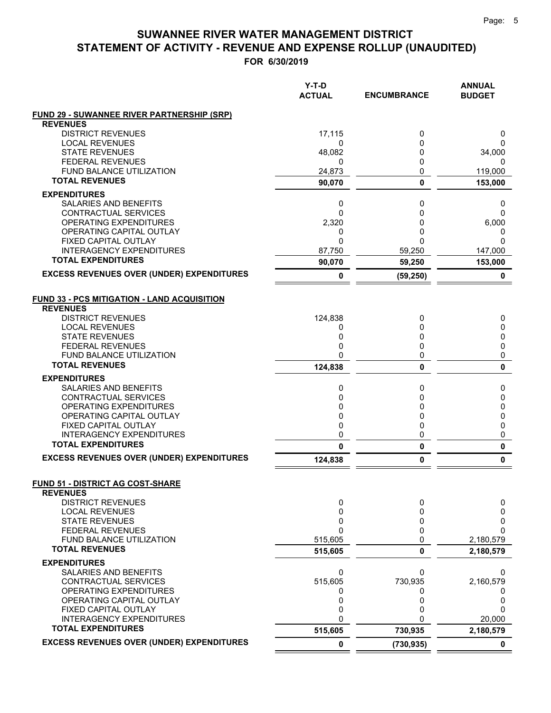|                                                            | $Y-T-D$<br><b>ACTUAL</b> | <b>ENCUMBRANCE</b> | <b>ANNUAL</b><br><b>BUDGET</b> |
|------------------------------------------------------------|--------------------------|--------------------|--------------------------------|
| <b>FUND 29 - SUWANNEE RIVER PARTNERSHIP (SRP)</b>          |                          |                    |                                |
| <b>REVENUES</b>                                            |                          |                    |                                |
| <b>DISTRICT REVENUES</b>                                   | 17,115                   | 0                  | 0                              |
| <b>LOCAL REVENUES</b><br><b>STATE REVENUES</b>             | 0                        | 0<br>0             | 0                              |
| <b>FEDERAL REVENUES</b>                                    | 48,082<br>0              | 0                  | 34,000<br>0                    |
| FUND BALANCE UTILIZATION                                   | 24,873                   | 0                  | 119,000                        |
| <b>TOTAL REVENUES</b>                                      | 90,070                   | 0                  | 153,000                        |
| <b>EXPENDITURES</b>                                        |                          |                    |                                |
| <b>SALARIES AND BENEFITS</b>                               | 0                        | 0                  | 0                              |
| CONTRACTUAL SERVICES                                       | 0                        | 0                  | $\Omega$                       |
| OPERATING EXPENDITURES                                     | 2,320                    | 0                  | 6,000                          |
| OPERATING CAPITAL OUTLAY                                   | 0                        | 0                  | 0                              |
| FIXED CAPITAL OUTLAY                                       | $\Omega$                 | 0                  | $\Omega$                       |
| <b>INTERAGENCY EXPENDITURES</b>                            | 87,750                   | 59,250             | 147,000                        |
| <b>TOTAL EXPENDITURES</b>                                  | 90,070                   | 59,250             | 153,000                        |
| <b>EXCESS REVENUES OVER (UNDER) EXPENDITURES</b>           | 0                        | (59, 250)          | 0                              |
| <b>FUND 33 - PCS MITIGATION - LAND ACQUISITION</b>         |                          |                    |                                |
| <b>REVENUES</b>                                            |                          |                    |                                |
| <b>DISTRICT REVENUES</b>                                   | 124,838                  | 0                  | 0                              |
| <b>LOCAL REVENUES</b>                                      | 0                        | 0                  | 0                              |
| <b>STATE REVENUES</b>                                      | 0                        | 0                  | 0                              |
| <b>FEDERAL REVENUES</b>                                    | 0                        | 0                  | 0                              |
| <b>FUND BALANCE UTILIZATION</b>                            | 0                        | 0                  | 0                              |
| <b>TOTAL REVENUES</b>                                      | 124,838                  | 0                  | 0                              |
| <b>EXPENDITURES</b>                                        |                          |                    |                                |
| SALARIES AND BENEFITS                                      | 0                        | 0                  | 0                              |
| CONTRACTUAL SERVICES                                       | 0                        | 0                  | 0                              |
| OPERATING EXPENDITURES                                     | 0                        | 0                  | 0                              |
| OPERATING CAPITAL OUTLAY                                   | 0                        | 0                  | 0                              |
| FIXED CAPITAL OUTLAY<br><b>INTERAGENCY EXPENDITURES</b>    | 0                        | 0                  | 0                              |
| <b>TOTAL EXPENDITURES</b>                                  | 0<br>$\mathbf 0$         | 0<br>$\pmb{0}$     | 0<br>$\pmb{0}$                 |
| <b>EXCESS REVENUES OVER (UNDER) EXPENDITURES</b>           | 124,838                  | 0                  | 0                              |
|                                                            |                          |                    |                                |
| <b>FUND 51 - DISTRICT AG COST-SHARE</b><br><b>REVENUES</b> |                          |                    |                                |
| <b>DISTRICT REVENUES</b>                                   | 0                        | 0                  | 0                              |
| <b>LOCAL REVENUES</b>                                      | 0                        | 0                  | 0                              |
| <b>STATE REVENUES</b>                                      | 0                        | 0                  | 0                              |
| <b>FEDERAL REVENUES</b>                                    | $\Omega$                 | 0                  | $\Omega$                       |
| <b>FUND BALANCE UTILIZATION</b>                            | 515,605                  | 0                  | 2,180,579                      |
| <b>TOTAL REVENUES</b>                                      | 515,605                  | 0                  | 2,180,579                      |
| <b>EXPENDITURES</b>                                        |                          |                    |                                |
| SALARIES AND BENEFITS                                      | 0                        | 0                  | 0                              |
| CONTRACTUAL SERVICES                                       | 515,605                  | 730,935            | 2,160,579                      |
| OPERATING EXPENDITURES                                     | 0                        |                    | 0                              |
| OPERATING CAPITAL OUTLAY                                   | 0                        | 0                  | 0                              |
| FIXED CAPITAL OUTLAY                                       | 0                        | 0                  | $\Omega$                       |
| <b>INTERAGENCY EXPENDITURES</b>                            | 0                        | U                  | 20,000                         |
| <b>TOTAL EXPENDITURES</b>                                  | 515,605                  | 730,935            | 2,180,579                      |
| <b>EXCESS REVENUES OVER (UNDER) EXPENDITURES</b>           | 0                        | (730, 935)         | 0                              |